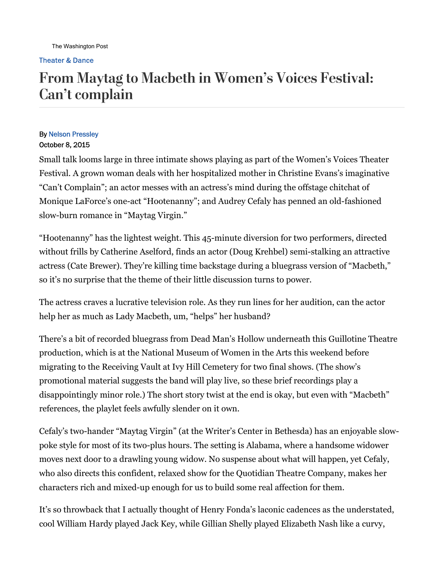#### **Theater & Dance**

# From Maytag to Macbeth in Women's Voices Festival: Can't complain

#### **By Nelson Pressley**

### October 8, 2015

Small talk looms large in three intimate shows playing as part of the Women's Voices Theater Festival. A grown woman deals with her hospitalized mother in Christine Evans's imaginative "Can't Complain"; an actor messes with an actress's mind during the offstage chitchat of Monique LaForce's one-act "Hootenanny"; and Audrey Cefaly has penned an old-fashioned slow-burn romance in "Maytag Virgin."

"Hootenanny" has the lightest weight. This 45-minute diversion for two performers, directed without frills by Catherine Aselford, finds an actor (Doug Krehbel) semi-stalking an attractive actress (Cate Brewer). They're killing time backstage during a bluegrass version of "Macbeth," so it's no surprise that the theme of their little discussion turns to power.

The actress craves a lucrative television role. As they run lines for her audition, can the actor help her as much as Lady Macbeth, um, "helps" her husband?

There's a bit of recorded bluegrass from Dead Man's Hollow underneath this Guillotine Theatre production, which is at the National Museum of Women in the Arts this weekend before migrating to the Receiving Vault at Ivy Hill Cemetery for two final shows. (The show's promotional material suggests the band will play live, so these brief recordings play a disappointingly minor role.) The short story twist at the end is okay, but even with "Macbeth" references, the playlet feels awfully slender on it own.

Cefaly's two-hander "Maytag Virgin" (at the Writer's Center in Bethesda) has an enjoyable slowpoke style for most of its two-plus hours. The setting is Alabama, where a handsome widower moves next door to a drawling young widow. No suspense about what will happen, yet Cefaly, who also directs this confident, relaxed show for the Quotidian Theatre Company, makes her characters rich and mixed-up enough for us to build some real affection for them.

It's so throwback that I actually thought of Henry Fonda's laconic cadences as the understated, cool William Hardy played Jack Key, while Gillian Shelly played Elizabeth Nash like a curvy,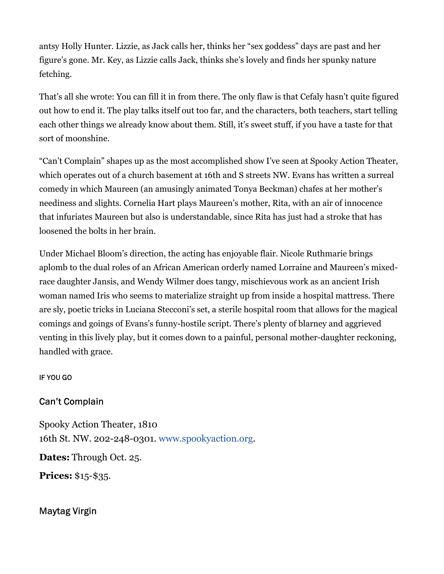antsy Holly Hunter. Lizzie, as Jack calls her, thinks her "sex goddess" days are past and her figure's gone. Mr. Key, as Lizzie calls Jack, thinks she's lovely and finds her spunky nature fetching.

That's all she wrote: You can fill it in from there. The only flaw is that Cefaly hasn't quite figured out how to end it. The play talks itself out too far, and the characters, both teachers, start telling each other things we already know about them. Still, it's sweet stuff, if you have a taste for that sort of moonshine.

"Can't Complain" shapes up as the most accomplished show I've seen at Spooky Action Theater, which operates out of a church basement at 16th and S streets NW. Evans has written a surreal comedy in which Maureen (an amusingly animated Tonya Beckman) chafes at her mother's neediness and slights. Cornelia Hart plays Maureen's mother, Rita, with an air of innocence that infuriates Maureen but also is understandable, since Rita has just had a stroke that has loosened the bolts in her brain.

Under Michael Bloom's direction, the acting has enjoyable flair. Nicole Ruthmarie brings aplomb to the dual roles of an African American orderly named Lorraine and Maureen's mixedrace daughter Jansis, and Wendy Wilmer does tangy, mischievous work as an ancient Irish woman named Iris who seems to materialize straight up from inside a hospital mattress. There are sly, poetic tricks in Luciana Stecconi's set, a sterile hospital room that allows for the magical comings and goings of Evans's funny-hostile script. There's plenty of blarney and aggrieved venting in this lively play, but it comes down to a painful, personal mother-daughter reckoning, handled with grace.

IF YOU GO

Can't Complain

Spooky Action Theater, 1810 16th St. NW. 202-248-0301. www.spookyaction.org.

Dates: Through Oct. 25.

Prices: \$15-\$35.

**Maytag Virgin**